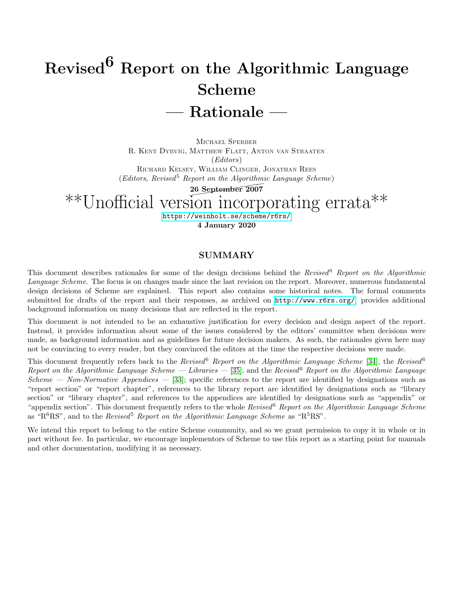# Revised<sup>6</sup> Report on the Algorithmic Language Scheme — Rationale —

MICHAEL SPERBER R. KENT DYBVIG, MATTHEW FLATT, ANTON VAN STRAATEN (Editors) RICHARD KELSEY, WILLIAM CLINGER, JONATHAN REES  $(Editors, Revised<sup>5</sup> Report on the Algorithmic Language Scheme)$ 

eport on the Algorithm<br>26 September 2007

## \*\*Unofficial version incorporating errata\*\*

<https://weinholt.se/scheme/r6rs/> 4 January 2020

#### SUMMARY

This document describes rationales for some of the design decisions behind the Revised<sup>6</sup> Report on the Algorithmic Language Scheme. The focus is on changes made since the last revision on the report. Moreover, numerous fundamental design decisions of Scheme are explained. This report also contains some historical notes. The formal comments submitted for drafts of the report and their responses, as archived on <http://www.r6rs.org/>, provides additional background information on many decisions that are reflected in the report.

This document is not intended to be an exhaustive justification for every decision and design aspect of the report. Instead, it provides information about some of the issues considered by the editors' committee when decisions were made, as background information and as guidelines for future decision makers. As such, the rationales given here may not be convincing to every reader, but they convinced the editors at the time the respective decisions were made.

This document frequently refers back to the Revised<sup>6</sup> Report on the Algorithmic Language Scheme [\[34\]](#page-19-0), the Revised<sup>6</sup> Report on the Algorithmic Language Scheme — Libraries — [\[35\]](#page-19-1), and the Revised  $6$  Report on the Algorithmic Language Scheme — Non-Normative Appendices — [\[33\]](#page-19-2); specific references to the report are identified by designations such as "report section" or "report chapter", references to the library report are identified by designations such as "library section" or "library chapter", and references to the appendices are identified by designations such as "appendix" or "appendix section". This document frequently refers to the whole Revised Report on the Algorithmic Language Scheme as " $R^6RS$ ", and to the *Revised*<sup>5</sup> Report on the Algorithmic Language Scheme as " $R^5RS$ ".

We intend this report to belong to the entire Scheme community, and so we grant permission to copy it in whole or in part without fee. In particular, we encourage implementors of Scheme to use this report as a starting point for manuals and other documentation, modifying it as necessary.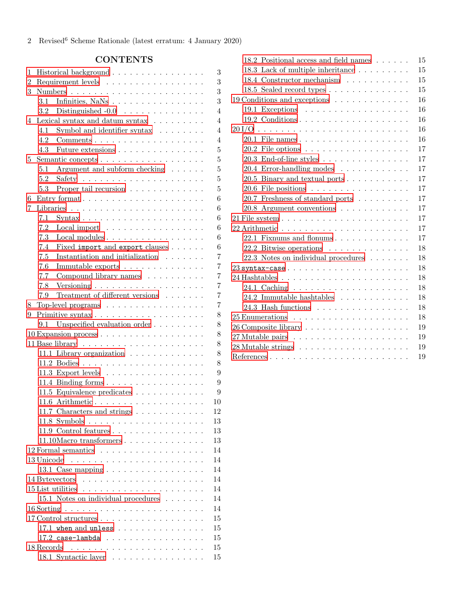## CONTENTS

| 1              |                    | Historical background<br>3<br>3                                                                |  |
|----------------|--------------------|------------------------------------------------------------------------------------------------|--|
| $\overline{2}$ | Requirement levels |                                                                                                |  |
| 3              |                    | 3                                                                                              |  |
|                | 3.1                | 3<br>Infinities, NaNs $\ldots \ldots \ldots \ldots \ldots$                                     |  |
|                | $3.2\,$            | $\overline{4}$<br>Distinguished $-0.0$                                                         |  |
| 4              |                    | $\overline{4}$<br>Lexical syntax and datum syntax $\ldots \ldots \ldots$                       |  |
|                | 4.1                | $\overline{4}$<br>Symbol and identifier syntax $\ldots \ldots$                                 |  |
|                | 4.2                | $\overline{4}$<br>$Comments \ldots \ldots \ldots \ldots \ldots \ldots \ldots$                  |  |
|                | 4.3                | 5<br>Future extensions                                                                         |  |
| 5              |                    | 5<br>Semantic concepts                                                                         |  |
|                | 5.1                | Argument and subform checking $\dots \dots$<br>5                                               |  |
|                | 5.2                | 5                                                                                              |  |
|                | 5.3                | 5<br>Proper tail recursion                                                                     |  |
| 6              |                    | 6                                                                                              |  |
| 7              |                    | 6                                                                                              |  |
|                | 7.1                | 6<br>$\text{Syntax}\ldots\ldots\ldots\ldots\ldots\ldots\ldots\ldots\ldots\ldots$               |  |
|                | 7.2                | 6<br>Local import $\dots \dots \dots \dots \dots \dots$                                        |  |
|                | 7.3                | 6<br>Local modules                                                                             |  |
|                | 7.4                | Fixed import and export clauses<br>6                                                           |  |
|                | 7.5                | Instantiation and initialization $\ldots \ldots$<br>$\overline{7}$                             |  |
|                | 7.6                | Immutable exports $\dots \dots \dots \dots \dots$<br>$\overline{7}$                            |  |
|                | 7.7                | $\overline{7}$<br>Compound library names $\phantom{a} \ldots \phantom{a} \ldots \ldots \ldots$ |  |
|                | 7.8                | $\overline{7}$                                                                                 |  |
|                | 7.9                | $\overline{7}$<br>Treatment of different versions $\hfill\ldots\ldots\ldots$                   |  |
| 8              |                    | $\overline{7}$<br>Top-level programs                                                           |  |
| 9              |                    | 8                                                                                              |  |
|                | 9.1                | 8<br>Unspecified evaluation order                                                              |  |
|                |                    | 10 Expansion process<br>8                                                                      |  |
|                |                    | 8                                                                                              |  |
|                |                    | 11.1 Library organization<br>8                                                                 |  |
|                |                    | 8                                                                                              |  |
|                |                    | 9                                                                                              |  |
|                |                    | 11.3 Export levels                                                                             |  |
|                |                    | 9<br>11.4 Binding forms                                                                        |  |
|                |                    | 9<br>11.5 Equivalence predicates                                                               |  |
|                |                    | 11.6 Arithmetic<br>10                                                                          |  |
|                |                    | 11.7 Characters and strings $\ldots \ldots \ldots \ldots$<br>12                                |  |
|                |                    | 13                                                                                             |  |
|                |                    | 11.9 Control features $\dots \dots \dots \dots \dots \dots$<br>13                              |  |
|                |                    | 13                                                                                             |  |
|                |                    | 14                                                                                             |  |
|                | 13 Unicode         | 14                                                                                             |  |
|                |                    | 14<br>13.1 Case mapping $\ldots \ldots \ldots \ldots \ldots$                                   |  |
|                |                    | 14                                                                                             |  |
|                |                    | 14<br>$15$ List utilities $\ldots \ldots \ldots \ldots \ldots \ldots \ldots$                   |  |
|                |                    | 15.1 Notes on individual procedures<br>14                                                      |  |
|                |                    | 14                                                                                             |  |
|                |                    | 15<br>17 Control structures                                                                    |  |
|                |                    | 15<br>17.1 when and unless $\ldots$                                                            |  |
|                |                    | 15<br>$17.2$ case-lambda                                                                       |  |
|                | 18 Records         | 15                                                                                             |  |
|                |                    | 18.1 Syntactic layer<br>15                                                                     |  |

| 18.2 Positional access and field names $\ldots \ldots$             | 15 |
|--------------------------------------------------------------------|----|
| 18.3 Lack of multiple inheritance $\ldots \ldots \ldots$           | 15 |
| 18.4 Constructor mechanism                                         | 15 |
|                                                                    | 15 |
| 19 Conditions and exceptions                                       | 16 |
| 19.1 Exceptions $\ldots \ldots \ldots \ldots \ldots \ldots$        | 16 |
|                                                                    | 16 |
|                                                                    | 16 |
|                                                                    | 16 |
|                                                                    | 17 |
| $20.3$ End-of-line styles                                          | 17 |
| 20.4 Error-handling modes                                          | 17 |
| 20.5 Binary and textual ports                                      | 17 |
| 20.6 File positions $\ldots \ldots \ldots \ldots \ldots$           | 17 |
| 20.7 Freshness of standard ports                                   | 17 |
| 20.8 Argument conventions                                          | 17 |
|                                                                    | 17 |
| $22$ Arithmetic $\ldots \ldots \ldots \ldots \ldots \ldots \ldots$ | 17 |
| 22.1 Fixnums and flonums                                           | 17 |
| 22.2 Bitwise operations $\ldots \ldots \ldots \ldots$              | 18 |
| 22.3 Notes on individual procedures                                | 18 |
|                                                                    | 18 |
|                                                                    | 18 |
|                                                                    | 18 |
| 24.2 Immutable hashtables $\ldots \ldots \ldots \ldots$            | 18 |
| 24.3 Hash functions                                                | 18 |
|                                                                    | 18 |
| 26 Composite library                                               | 19 |
|                                                                    | 19 |
|                                                                    | 19 |
|                                                                    | 19 |
|                                                                    |    |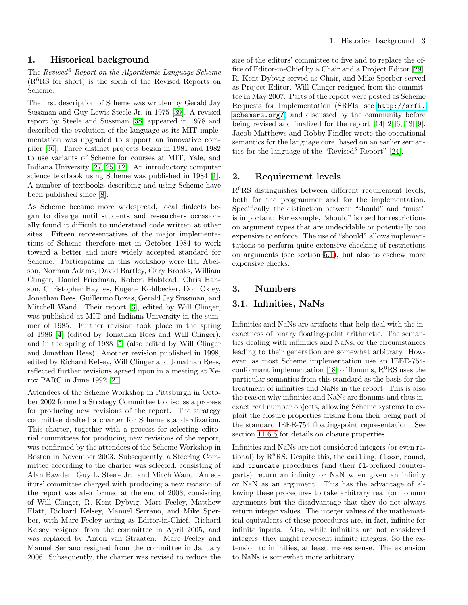## <span id="page-2-0"></span>1. Historical background

The Revised<sup>6</sup> Report on the Algorithmic Language Scheme (R6RS for short) is the sixth of the Revised Reports on Scheme.

The first description of Scheme was written by Gerald Jay Sussman and Guy Lewis Steele Jr. in 1975 [\[39\]](#page-20-0). A revised report by Steele and Sussman [\[38\]](#page-19-3) appeared in 1978 and described the evolution of the language as its MIT implementation was upgraded to support an innovative compiler [\[36\]](#page-19-4). Three distinct projects began in 1981 and 1982 to use variants of Scheme for courses at MIT, Yale, and Indiana University [\[27,](#page-19-5) [25,](#page-19-6) [12\]](#page-19-7). An introductory computer science textbook using Scheme was published in 1984 [\[1\]](#page-18-4). A number of textbooks describing and using Scheme have been published since [\[8\]](#page-18-5).

As Scheme became more widespread, local dialects began to diverge until students and researchers occasionally found it difficult to understand code written at other sites. Fifteen representatives of the major implementations of Scheme therefore met in October 1984 to work toward a better and more widely accepted standard for Scheme. Participating in this workshop were Hal Abelson, Norman Adams, David Bartley, Gary Brooks, William Clinger, Daniel Friedman, Robert Halstead, Chris Hanson, Christopher Haynes, Eugene Kohlbecker, Don Oxley, Jonathan Rees, Guillermo Rozas, Gerald Jay Sussman, and Mitchell Wand. Their report [\[3\]](#page-18-6), edited by Will Clinger, was published at MIT and Indiana University in the summer of 1985. Further revision took place in the spring of 1986 [\[4\]](#page-18-7) (edited by Jonathan Rees and Will Clinger), and in the spring of 1988 [\[5\]](#page-18-8) (also edited by Will Clinger and Jonathan Rees). Another revision published in 1998, edited by Richard Kelsey, Will Clinger and Jonathan Rees, reflected further revisions agreed upon in a meeting at Xerox PARC in June 1992 [\[21\]](#page-19-8).

Attendees of the Scheme Workshop in Pittsburgh in October 2002 formed a Strategy Committee to discuss a process for producing new revisions of the report. The strategy committee drafted a charter for Scheme standardization. This charter, together with a process for selecting editorial committees for producing new revisions of the report, was confirmed by the attendees of the Scheme Workshop in Boston in November 2003. Subsequently, a Steering Committee according to the charter was selected, consisting of Alan Bawden, Guy L. Steele Jr., and Mitch Wand. An editors' committee charged with producing a new revision of the report was also formed at the end of 2003, consisting of Will Clinger, R. Kent Dybvig, Marc Feeley, Matthew Flatt, Richard Kelsey, Manuel Serrano, and Mike Sperber, with Marc Feeley acting as Editor-in-Chief. Richard Kelsey resigned from the committee in April 2005, and was replaced by Anton van Straaten. Marc Feeley and Manuel Serrano resigned from the committee in January 2006. Subsequently, the charter was revised to reduce the size of the editors' committee to five and to replace the office of Editor-in-Chief by a Chair and a Project Editor [\[29\]](#page-19-9). R. Kent Dybvig served as Chair, and Mike Sperber served as Project Editor. Will Clinger resigned from the committee in May 2007. Parts of the report were posted as Scheme Requests for Implementation (SRFIs, see [http://srfi.](http://srfi.schemers.org/) [schemers.org/](http://srfi.schemers.org/)) and discussed by the community before being revised and finalized for the report [\[14,](#page-19-10) [2,](#page-18-9) [6,](#page-18-10) [13,](#page-19-11) [9\]](#page-18-11). Jacob Matthews and Robby Findler wrote the operational semantics for the language core, based on an earlier semantics for the language of the "Revised<sup>5</sup> Report"  $[24]$ .

## <span id="page-2-1"></span>2. Requirement levels

R6RS distinguishes between different requirement levels, both for the programmer and for the implementation. Specifically, the distinction between "should" and "must" is important: For example, "should" is used for restrictions on argument types that are undecidable or potentially too expensive to enforce. The use of "should" allows implementations to perform quite extensive checking of restrictions on arguments (see section [5.1\)](#page-4-2), but also to eschew more expensive checks.

#### <span id="page-2-3"></span><span id="page-2-2"></span>3. Numbers

## 3.1. Infinities, NaNs

Infinities and NaNs are artifacts that help deal with the inexactness of binary floating-point arithmetic. The semantics dealing with infinities and NaNs, or the circumstances leading to their generation are somewhat arbitrary. However, as most Scheme implementation use an IEEE-754- conformant implementation [\[18\]](#page-19-13) of flonums,  $R^6RS$  uses the particular semantics from this standard as the basis for the treatment of infinities and NaNs in the report. This is also the reason why infinities and NaNs are flonums and thus inexact real number objects, allowing Scheme systems to exploit the closure properties arising from their being part of the standard IEEE-754 floating-point representation. See section [11.6.6](#page-9-1) for details on closure properties.

Infinities and NaNs are not considered integers (or even rational) by  $R^6RS$ . Despite this, the ceiling, floor, round, and truncate procedures (and their fl-prefixed counterparts) return an infinity or NaN when given an infinity or NaN as an argument. This has the advantage of allowing these procedures to take arbitrary real (or flonum) arguments but the disadvantage that they do not always return integer values. The integer values of the mathematical equivalents of these procedures are, in fact, infinite for infinite inputs. Also, while infinities are not considered integers, they might represent infinite integers. So the extension to infinities, at least, makes sense. The extension to NaNs is somewhat more arbitrary.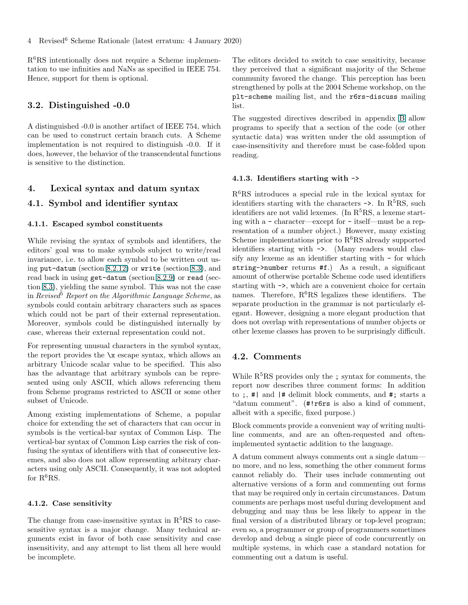R6RS intentionally does not require a Scheme implementation to use infinities and NaNs as specified in IEEE 754. Hence, support for them is optional.

## <span id="page-3-0"></span>3.2. Distinguished -0.0

A distinguished -0.0 is another artifact of IEEE 754, which can be used to construct certain branch cuts. A Scheme implementation is not required to distinguish -0.0. If it does, however, the behavior of the transcendental functions is sensitive to the distinction.

## <span id="page-3-2"></span><span id="page-3-1"></span>4. Lexical syntax and datum syntax

## 4.1. Symbol and identifier syntax

#### 4.1.1. Escaped symbol constituents

While revising the syntax of symbols and identifiers, the editors' goal was to make symbols subject to write/read invariance, i.e. to allow each symbol to be written out using put-datum (section 8.2.12) or write (section 8.3), and read back in using get-datum (section 8.2.9) or read (section 8.3), yielding the same symbol. This was not the case in Revised<sup>5</sup> Report on the Algorithmic Language Scheme, as symbols could contain arbitrary characters such as spaces which could not be part of their external representation. Moreover, symbols could be distinguished internally by case, whereas their external representation could not.

For representing unusual characters in the symbol syntax, the report provides the  $\{x\}$  escape syntax, which allows an arbitrary Unicode scalar value to be specified. This also has the advantage that arbitrary symbols can be represented using only ASCII, which allows referencing them from Scheme programs restricted to ASCII or some other subset of Unicode.

Among existing implementations of Scheme, a popular choice for extending the set of characters that can occur in symbols is the vertical-bar syntax of Common Lisp. The vertical-bar syntax of Common Lisp carries the risk of confusing the syntax of identifiers with that of consecutive lexemes, and also does not allow representing arbitrary characters using only ASCII. Consequently, it was not adopted for  $R^6RS$ .

#### 4.1.2. Case sensitivity

The change from case-insensitive syntax in  $R<sup>5</sup>RS$  to casesensitive syntax is a major change. Many technical arguments exist in favor of both case sensitivity and case insensitivity, and any attempt to list them all here would be incomplete.

The editors decided to switch to case sensitivity, because they perceived that a significant majority of the Scheme community favored the change. This perception has been strengthened by polls at the 2004 Scheme workshop, on the plt-scheme mailing list, and the r6rs-discuss mailing list.

The suggested directives described in appendix B allow programs to specify that a section of the code (or other syntactic data) was written under the old assumption of case-insensitivity and therefore must be case-folded upon reading.

#### 4.1.3. Identifiers starting with ->

 $R<sup>6</sup>RS$  introduces a special rule in the lexical syntax for identifiers starting with the characters  $\rightarrow$ . In R<sup>5</sup>RS, such identifiers are not valid lexemes. (In  $R<sup>5</sup>RS$ , a lexeme starting with a - character—except for - itself—must be a representation of a number object.) However, many existing Scheme implementations prior to  $R^6RS$  already supported identifiers starting with ->. (Many readers would classify any lexeme as an identifier starting with - for which string->number returns #f.) As a result, a significant amount of otherwise portable Scheme code used identifiers starting with ->, which are a convenient choice for certain names. Therefore,  $R^6RS$  legalizes these identifiers. The separate production in the grammar is not particularly elegant. However, designing a more elegant production that does not overlap with representations of number objects or other lexeme classes has proven to be surprisingly difficult.

#### <span id="page-3-3"></span>4.2. Comments

While  $R<sup>5</sup>RS$  provides only the ; syntax for comments, the report now describes three comment forms: In addition to ;, #| and |# delimit block comments, and #; starts a "datum comment". (#!r6rs is also a kind of comment, albeit with a specific, fixed purpose.)

Block comments provide a convenient way of writing multiline comments, and are an often-requested and oftenimplemented syntactic addition to the language.

A datum comment always comments out a single datum no more, and no less, something the other comment forms cannot reliably do. Their uses include commenting out alternative versions of a form and commenting out forms that may be required only in certain circumstances. Datum comments are perhaps most useful during development and debugging and may thus be less likely to appear in the final version of a distributed library or top-level program; even so, a programmer or group of programmers sometimes develop and debug a single piece of code concurrently on multiple systems, in which case a standard notation for commenting out a datum is useful.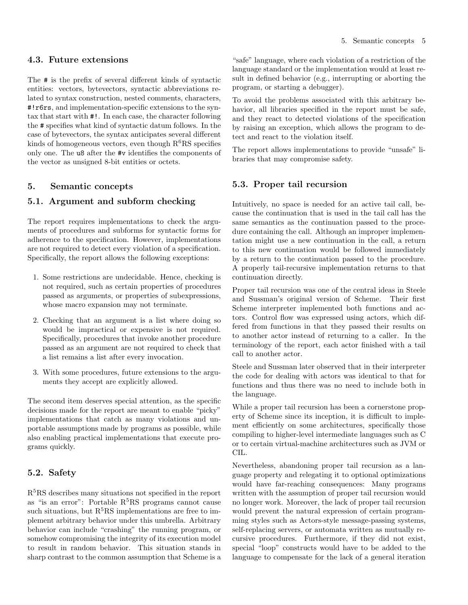## <span id="page-4-0"></span>4.3. Future extensions

The # is the prefix of several different kinds of syntactic entities: vectors, bytevectors, syntactic abbreviations related to syntax construction, nested comments, characters, #!r6rs, and implementation-specific extensions to the syntax that start with #!. In each case, the character following the # specifies what kind of syntactic datum follows. In the case of bytevectors, the syntax anticipates several different kinds of homogeneous vectors, even though  $R^6RS$  specifies only one. The u8 after the #v identifies the components of the vector as unsigned 8-bit entities or octets.

## <span id="page-4-2"></span><span id="page-4-1"></span>5. Semantic concepts

## 5.1. Argument and subform checking

The report requires implementations to check the arguments of procedures and subforms for syntactic forms for adherence to the specification. However, implementations are not required to detect every violation of a specification. Specifically, the report allows the following exceptions:

- 1. Some restrictions are undecidable. Hence, checking is not required, such as certain properties of procedures passed as arguments, or properties of subexpressions, whose macro expansion may not terminate.
- 2. Checking that an argument is a list where doing so would be impractical or expensive is not required. Specifically, procedures that invoke another procedure passed as an argument are not required to check that a list remains a list after every invocation.
- 3. With some procedures, future extensions to the arguments they accept are explicitly allowed.

The second item deserves special attention, as the specific decisions made for the report are meant to enable "picky" implementations that catch as many violations and unportable assumptions made by programs as possible, while also enabling practical implementations that execute programs quickly.

## <span id="page-4-3"></span>5.2. Safety

R<sup>5</sup>RS describes many situations not specified in the report as "is an error": Portable  $R^5RS$  programs cannot cause such situations, but  $R^5RS$  implementations are free to implement arbitrary behavior under this umbrella. Arbitrary behavior can include "crashing" the running program, or somehow compromising the integrity of its execution model to result in random behavior. This situation stands in sharp contrast to the common assumption that Scheme is a

"safe" language, where each violation of a restriction of the language standard or the implementation would at least result in defined behavior (e.g., interrupting or aborting the program, or starting a debugger).

To avoid the problems associated with this arbitrary behavior, all libraries specified in the report must be safe, and they react to detected violations of the specification by raising an exception, which allows the program to detect and react to the violation itself.

The report allows implementations to provide "unsafe" libraries that may compromise safety.

## <span id="page-4-4"></span>5.3. Proper tail recursion

Intuitively, no space is needed for an active tail call, because the continuation that is used in the tail call has the same semantics as the continuation passed to the procedure containing the call. Although an improper implementation might use a new continuation in the call, a return to this new continuation would be followed immediately by a return to the continuation passed to the procedure. A properly tail-recursive implementation returns to that continuation directly.

Proper tail recursion was one of the central ideas in Steele and Sussman's original version of Scheme. Their first Scheme interpreter implemented both functions and actors. Control flow was expressed using actors, which differed from functions in that they passed their results on to another actor instead of returning to a caller. In the terminology of the report, each actor finished with a tail call to another actor.

Steele and Sussman later observed that in their interpreter the code for dealing with actors was identical to that for functions and thus there was no need to include both in the language.

While a proper tail recursion has been a cornerstone property of Scheme since its inception, it is difficult to implement efficiently on some architectures, specifically those compiling to higher-level intermediate languages such as C or to certain virtual-machine architectures such as JVM or CIL.

Nevertheless, abandoning proper tail recursion as a language property and relegating it to optional optimizations would have far-reaching consequences: Many programs written with the assumption of proper tail recursion would no longer work. Moreover, the lack of proper tail recursion would prevent the natural expression of certain programming styles such as Actors-style message-passing systems, self-replacing servers, or automata written as mutually recursive procedures. Furthermore, if they did not exist, special "loop" constructs would have to be added to the language to compensate for the lack of a general iteration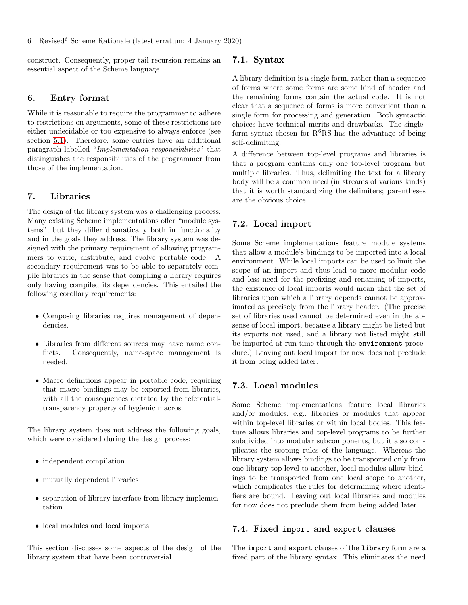<span id="page-5-0"></span>construct. Consequently, proper tail recursion remains an essential aspect of the Scheme language.

## 6. Entry format

While it is reasonable to require the programmer to adhere to restrictions on arguments, some of these restrictions are either undecidable or too expensive to always enforce (see section [5.1\)](#page-4-2). Therefore, some entries have an additional paragraph labelled "Implementation responsibilities" that distinguishes the responsibilities of the programmer from those of the implementation.

#### <span id="page-5-1"></span>7. Libraries

The design of the library system was a challenging process: Many existing Scheme implementations offer "module systems", but they differ dramatically both in functionality and in the goals they address. The library system was designed with the primary requirement of allowing programmers to write, distribute, and evolve portable code. A secondary requirement was to be able to separately compile libraries in the sense that compiling a library requires only having compiled its dependencies. This entailed the following corollary requirements:

- Composing libraries requires management of dependencies.
- Libraries from different sources may have name conflicts. Consequently, name-space management is needed.
- Macro definitions appear in portable code, requiring that macro bindings may be exported from libraries, with all the consequences dictated by the referentialtransparency property of hygienic macros.

The library system does not address the following goals, which were considered during the design process:

- independent compilation
- mutually dependent libraries
- separation of library interface from library implementation
- local modules and local imports

This section discusses some aspects of the design of the library system that have been controversial.

#### <span id="page-5-2"></span>7.1. Syntax

A library definition is a single form, rather than a sequence of forms where some forms are some kind of header and the remaining forms contain the actual code. It is not clear that a sequence of forms is more convenient than a single form for processing and generation. Both syntactic choices have technical merits and drawbacks. The singleform syntax chosen for  $R^6RS$  has the advantage of being self-delimiting.

A difference between top-level programs and libraries is that a program contains only one top-level program but multiple libraries. Thus, delimiting the text for a library body will be a common need (in streams of various kinds) that it is worth standardizing the delimiters; parentheses are the obvious choice.

## <span id="page-5-3"></span>7.2. Local import

Some Scheme implementations feature module systems that allow a module's bindings to be imported into a local environment. While local imports can be used to limit the scope of an import and thus lead to more modular code and less need for the prefixing and renaming of imports, the existence of local imports would mean that the set of libraries upon which a library depends cannot be approximated as precisely from the library header. (The precise set of libraries used cannot be determined even in the absense of local import, because a library might be listed but its exports not used, and a library not listed might still be imported at run time through the environment procedure.) Leaving out local import for now does not preclude it from being added later.

#### <span id="page-5-4"></span>7.3. Local modules

Some Scheme implementations feature local libraries and/or modules, e.g., libraries or modules that appear within top-level libraries or within local bodies. This feature allows libraries and top-level programs to be further subdivided into modular subcomponents, but it also complicates the scoping rules of the language. Whereas the library system allows bindings to be transported only from one library top level to another, local modules allow bindings to be transported from one local scope to another, which complicates the rules for determining where identifiers are bound. Leaving out local libraries and modules for now does not preclude them from being added later.

## <span id="page-5-5"></span>7.4. Fixed import and export clauses

The import and export clauses of the library form are a fixed part of the library syntax. This eliminates the need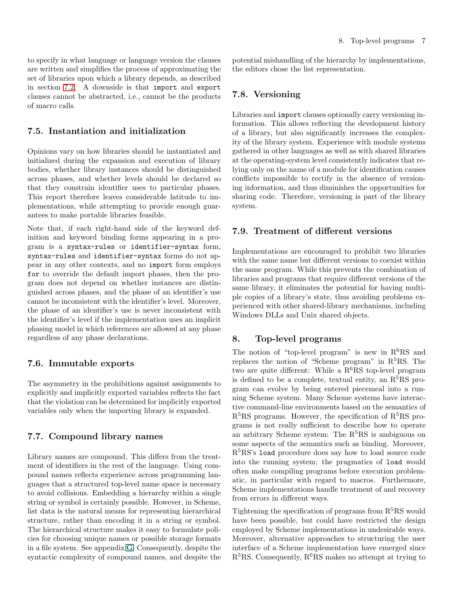to specify in what language or language version the clauses are written and simplifies the process of approximating the set of libraries upon which a library depends, as described in section [7.2.](#page-5-3) A downside is that import and export clauses cannot be abstracted, i.e., cannot be the products of macro calls.

## <span id="page-6-0"></span>7.5. Instantiation and initialization

Opinions vary on how libraries should be instantiated and initialized during the expansion and execution of library bodies, whether library instances should be distinguished across phases, and whether levels should be declared so that they constrain identifier uses to particular phases. This report therefore leaves considerable latitude to implementations, while attempting to provide enough guarantees to make portable libraries feasible.

Note that, if each right-hand side of the keyword definition and keyword binding forms appearing in a program is a syntax-rules or identifier-syntax form, syntax-rules and identifier-syntax forms do not appear in any other contexts, and no import form employs for to override the default import phases, then the program does not depend on whether instances are distinguished across phases, and the phase of an identifier's use cannot be inconsistent with the identifier's level. Moreover, the phase of an identifier's use is never inconsistent with the identifier's level if the implementation uses an implicit phasing model in which references are allowed at any phase regardless of any phase declarations.

## <span id="page-6-1"></span>7.6. Immutable exports

The asymmetry in the prohibitions against assignments to explicitly and implicitly exported variables reflects the fact that the violation can be determined for implicitly exported variables only when the importing library is expanded.

## <span id="page-6-2"></span>7.7. Compound library names

Library names are compound. This differs from the treatment of identifiers in the rest of the language. Using compound names reflects experience across programming languages that a structured top-level name space is necessary to avoid collisions. Embedding a hierarchy within a single string or symbol is certainly possible. However, in Scheme, list data is the natural means for representing hierarchical structure, rather than encoding it in a string or symbol. The hierarchical structure makes it easy to formulate policies for choosing unique names or possible storage formats in a file system. See appendix G. Consequently, despite the syntactic complexity of compound names, and despite the potential mishandling of the hierarchy by implementations, the editors chose the list representation.

## <span id="page-6-3"></span>7.8. Versioning

Libraries and import clauses optionally carry versioning information. This allows reflecting the development history of a library, but also significantly increases the complexity of the library system. Experience with module systems gathered in other languages as well as with shared libraries at the operating-system level consistently indicates that relying only on the name of a module for identification causes conflicts impossible to rectify in the absence of versioning information, and thus diminishes the opportunities for sharing code. Therefore, versioning is part of the library system.

## <span id="page-6-4"></span>7.9. Treatment of different versions

Implementations are encouraged to prohibit two libraries with the same name but different versions to coexist within the same program. While this prevents the combination of libraries and programs that require different versions of the same library, it eliminates the potential for having multiple copies of a library's state, thus avoiding problems experienced with other shared-library mechanisms, including Windows DLLs and Unix shared objects.

#### <span id="page-6-5"></span>8. Top-level programs

The notion of "top-level program" is new in  $R^6RS$  and replaces the notion of "Scheme program" in  $R<sup>5</sup>RS$ . The two are quite different: While a  $R^6RS$  top-level program is defined to be a complete, textual entity, an  $R<sup>5</sup>RS$  program can evolve by being entered piecemeal into a running Scheme system. Many Scheme systems have interactive command-line environments based on the semantics of  $R<sup>5</sup>RS$  programs. However, the specification of  $R<sup>5</sup>RS$  programs is not really sufficient to describe how to operate an arbitrary Scheme system: The  $R<sup>5</sup>RS$  is ambiguous on some aspects of the semantics such as binding. Moreover, R<sup>5</sup>RS's load procedure does say how to load source code into the running system; the pragmatics of load would often make compiling programs before execution problematic, in particular with regard to macros. Furthermore, Scheme implementations handle treatment of and recovery from errors in different ways.

Tightening the specification of programs from  $R<sup>5</sup>RS$  would have been possible, but could have restricted the design employed by Scheme implementations in undesirable ways. Moreover, alternative approaches to structuring the user interface of a Scheme implementation have emerged since  $R<sup>5</sup>RS$ . Consequently,  $R<sup>6</sup>RS$  makes no attempt at trying to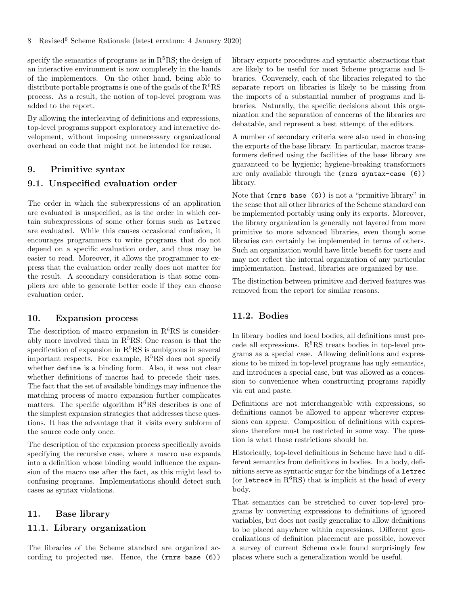specify the semantics of programs as in  $R<sup>5</sup>RS$ ; the design of an interactive environment is now completely in the hands of the implementors. On the other hand, being able to distribute portable programs is one of the goals of the  $R^6RS$ process. As a result, the notion of top-level program was added to the report.

By allowing the interleaving of definitions and expressions, top-level programs support exploratory and interactive development, without imposing unnecessary organizational overhead on code that might not be intended for reuse.

## <span id="page-7-1"></span><span id="page-7-0"></span>9. Primitive syntax

## 9.1. Unspecified evaluation order

The order in which the subexpressions of an application are evaluated is unspecified, as is the order in which certain subexpressions of some other forms such as letrec are evaluated. While this causes occasional confusion, it encourages programmers to write programs that do not depend on a specific evaluation order, and thus may be easier to read. Moreover, it allows the programmer to express that the evaluation order really does not matter for the result. A secondary consideration is that some compilers are able to generate better code if they can choose evaluation order.

## <span id="page-7-2"></span>10. Expansion process

The description of macro expansion in  $R^6RS$  is considerably more involved than in  $R<sup>5</sup>RS$ : One reason is that the specification of expansion in  $R<sup>5</sup>RS$  is ambiguous in several important respects. For example,  $R^5RS$  does not specify whether define is a binding form. Also, it was not clear whether definitions of macros had to precede their uses. The fact that the set of available bindings may influence the matching process of macro expansion further complicates matters. The specific algorithm  $R^6RS$  describes is one of the simplest expansion strategies that addresses these questions. It has the advantage that it visits every subform of the source code only once.

The description of the expansion process specifically avoids specifying the recursive case, where a macro use expands into a definition whose binding would influence the expansion of the macro use after the fact, as this might lead to confusing programs. Implementations should detect such cases as syntax violations.

#### <span id="page-7-4"></span><span id="page-7-3"></span>11. Base library

#### 11.1. Library organization

The libraries of the Scheme standard are organized according to projected use. Hence, the (rnrs base (6))

library exports procedures and syntactic abstractions that are likely to be useful for most Scheme programs and libraries. Conversely, each of the libraries relegated to the separate report on libraries is likely to be missing from the imports of a substantial number of programs and libraries. Naturally, the specific decisions about this organization and the separation of concerns of the libraries are debatable, and represent a best attempt of the editors.

A number of secondary criteria were also used in choosing the exports of the base library. In particular, macros transformers defined using the facilities of the base library are guaranteed to be hygienic; hygiene-breaking transformers are only available through the (rnrs syntax-case (6)) library.

Note that (rnrs base (6)) is not a "primitive library" in the sense that all other libraries of the Scheme standard can be implemented portably using only its exports. Moreover, the library organization is generally not layered from more primitive to more advanced libraries, even though some libraries can certainly be implemented in terms of others. Such an organization would have little benefit for users and may not reflect the internal organization of any particular implementation. Instead, libraries are organized by use.

The distinction between primitive and derived features was removed from the report for similar reasons.

## <span id="page-7-5"></span>11.2. Bodies

In library bodies and local bodies, all definitions must precede all expressions.  $R^6RS$  treats bodies in top-level programs as a special case. Allowing definitions and expressions to be mixed in top-level programs has ugly semantics, and introduces a special case, but was allowed as a concession to convenience when constructing programs rapidly via cut and paste.

Definitions are not interchangeable with expressions, so definitions cannot be allowed to appear wherever expressions can appear. Composition of definitions with expressions therefore must be restricted in some way. The question is what those restrictions should be.

Historically, top-level definitions in Scheme have had a different semantics from definitions in bodies. In a body, definitions serve as syntactic sugar for the bindings of a letrec (or letrec\* in  $R^6RS$ ) that is implicit at the head of every body.

That semantics can be stretched to cover top-level programs by converting expressions to definitions of ignored variables, but does not easily generalize to allow definitions to be placed anywhere within expressions. Different generalizations of definition placement are possible, however a survey of current Scheme code found surprisingly few places where such a generalization would be useful.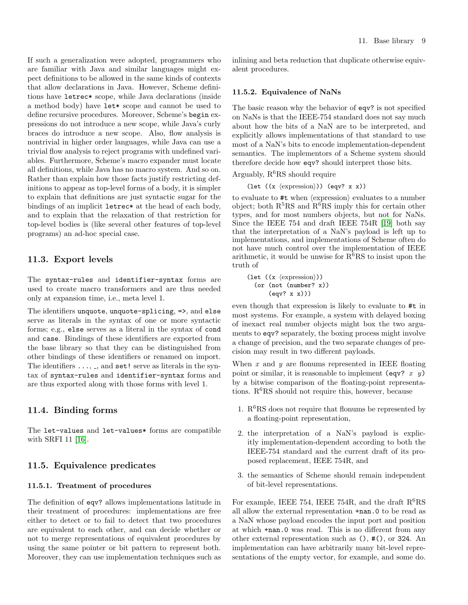If such a generalization were adopted, programmers who are familiar with Java and similar languages might expect definitions to be allowed in the same kinds of contexts that allow declarations in Java. However, Scheme definitions have letrec\* scope, while Java declarations (inside a method body) have let\* scope and cannot be used to define recursive procedures. Moreover, Scheme's begin expressions do not introduce a new scope, while Java's curly braces do introduce a new scope. Also, flow analysis is nontrivial in higher order languages, while Java can use a trivial flow analysis to reject programs with undefined variables. Furthermore, Scheme's macro expander must locate all definitions, while Java has no macro system. And so on. Rather than explain how those facts justify restricting definitions to appear as top-level forms of a body, it is simpler to explain that definitions are just syntactic sugar for the bindings of an implicit letrec\* at the head of each body, and to explain that the relaxation of that restriction for top-level bodies is (like several other features of top-level programs) an ad-hoc special case.

## <span id="page-8-0"></span>11.3. Export levels

The syntax-rules and identifier-syntax forms are used to create macro transformers and are thus needed only at expansion time, i.e., meta level 1.

The identifiers unquote, unquote-splicing, =>, and else serve as literals in the syntax of one or more syntactic forms; e.g., else serves as a literal in the syntax of cond and case. Bindings of these identifiers are exported from the base library so that they can be distinguished from other bindings of these identifiers or renamed on import. The identifiers  $\dots$ ,  $\ldots$ , and set! serve as literals in the syntax of syntax-rules and identifier-syntax forms and are thus exported along with those forms with level 1.

## <span id="page-8-1"></span>11.4. Binding forms

The let-values and let-values\* forms are compatible with SRFI 11 [\[16\]](#page-19-14).

## <span id="page-8-2"></span>11.5. Equivalence predicates

#### 11.5.1. Treatment of procedures

The definition of eqv? allows implementations latitude in their treatment of procedures: implementations are free either to detect or to fail to detect that two procedures are equivalent to each other, and can decide whether or not to merge representations of equivalent procedures by using the same pointer or bit pattern to represent both. Moreover, they can use implementation techniques such as inlining and beta reduction that duplicate otherwise equivalent procedures.

#### 11.5.2. Equivalence of NaNs

The basic reason why the behavior of eqv? is not specified on NaNs is that the IEEE-754 standard does not say much about how the bits of a NaN are to be interpreted, and explicitly allows implementations of that standard to use most of a NaN's bits to encode implementation-dependent semantics. The implementors of a Scheme system should therefore decide how eqv? should interpret those bits.

Arguably,  $R^6RS$  should require

(let  $((x \langle expression \rangle))$  (eqv? x x))

to evaluate to  $\#t$  when  $\langle$  expression $\rangle$  evaluates to a number object; both  $R^5RS$  and  $R^6RS$  imply this for certain other types, and for most numbers objects, but not for NaNs. Since the IEEE 754 and draft IEEE 754R [\[19\]](#page-19-15) both say that the interpretation of a NaN's payload is left up to implementations, and implementations of Scheme often do not have much control over the implementation of IEEE arithmetic, it would be unwise for  $R^6RS$  to insist upon the truth of

```
(let ((x \langle expression \rangle))(or (not (number? x))
(eqv? x x)))
```
even though that expression is likely to evaluate to #t in most systems. For example, a system with delayed boxing of inexact real number objects might box the two arguments to eqv? separately, the boxing process might involve a change of precision, and the two separate changes of precision may result in two different payloads.

When  $x$  and  $y$  are flonums represented in IEEE floating point or similar, it is reasonable to implement (eqv?  $x \ y$ ) by a bitwise comparison of the floating-point representations.  $R^6RS$  should not require this, however, because

- 1.  $R^6RS$  does not require that flonums be represented by a floating-point representation,
- 2. the interpretation of a NaN's payload is explicitly implementation-dependent according to both the IEEE-754 standard and the current draft of its proposed replacement, IEEE 754R, and
- 3. the semantics of Scheme should remain independent of bit-level representations.

For example, IEEE 754, IEEE 754R, and the draft  $R^6RS$ all allow the external representation +nan.0 to be read as a NaN whose payload encodes the input port and position at which +nan.0 was read. This is no different from any other external representation such as (), #(), or 324. An implementation can have arbitrarily many bit-level representations of the empty vector, for example, and some do.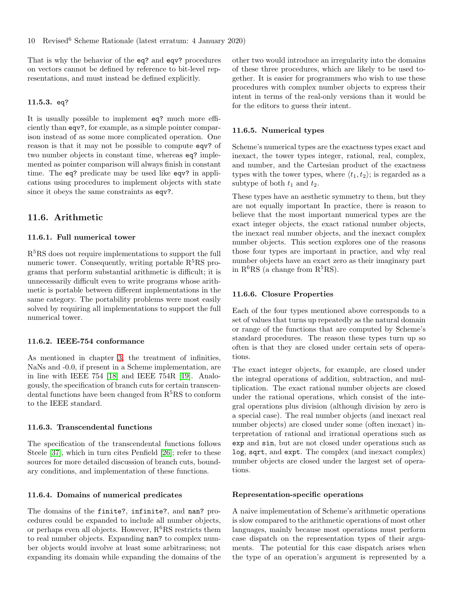That is why the behavior of the eq? and eqv? procedures on vectors cannot be defined by reference to bit-level representations, and must instead be defined explicitly.

#### 11.5.3. eq?

It is usually possible to implement eq? much more efficiently than eqv?, for example, as a simple pointer comparison instead of as some more complicated operation. One reason is that it may not be possible to compute eqv? of two number objects in constant time, whereas eq? implemented as pointer comparison will always finish in constant time. The eq? predicate may be used like eqv? in applications using procedures to implement objects with state since it obeys the same constraints as eqv?.

#### <span id="page-9-0"></span>11.6. Arithmetic

#### 11.6.1. Full numerical tower

R5RS does not require implementations to support the full numeric tower. Consequently, writing portable  $R<sup>5</sup>RS$  programs that perform substantial arithmetic is difficult; it is unnecessarily difficult even to write programs whose arithmetic is portable between different implementations in the same category. The portability problems were most easily solved by requiring all implementations to support the full numerical tower.

#### 11.6.2. IEEE-754 conformance

As mentioned in chapter [3,](#page-2-2) the treatment of infinities, NaNs and -0.0, if present in a Scheme implementation, are in line with IEEE 754 [\[18\]](#page-19-13) and IEEE 754R [\[19\]](#page-19-15). Analogously, the specification of branch cuts for certain transcendental functions have been changed from  $R<sup>5</sup>RS$  to conform to the IEEE standard.

#### 11.6.3. Transcendental functions

The specification of the transcendental functions follows Steele [\[37\]](#page-19-16), which in turn cites Penfield [\[26\]](#page-19-17); refer to these sources for more detailed discussion of branch cuts, boundary conditions, and implementation of these functions.

#### 11.6.4. Domains of numerical predicates

The domains of the finite?, infinite?, and nan? procedures could be expanded to include all number objects, or perhaps even all objects. However,  $R^6RS$  restricts them to real number objects. Expanding nan? to complex number objects would involve at least some arbitrariness; not expanding its domain while expanding the domains of the other two would introduce an irregularity into the domains of these three procedures, which are likely to be used together. It is easier for programmers who wish to use these procedures with complex number objects to express their intent in terms of the real-only versions than it would be for the editors to guess their intent.

#### 11.6.5. Numerical types

Scheme's numerical types are the exactness types exact and inexact, the tower types integer, rational, real, complex, and number, and the Cartesian product of the exactness types with the tower types, where  $\langle t_1, t_2 \rangle$ ; is regarded as a subtype of both  $t_1$  and  $t_2$ .

These types have an aesthetic symmetry to them, but they are not equally important In practice, there is reason to believe that the most important numerical types are the exact integer objects, the exact rational number objects, the inexact real number objects, and the inexact complex number objects. This section explores one of the reasons those four types are important in practice, and why real number objects have an exact zero as their imaginary part in  $R^6RS$  (a change from  $R^5RS$ ).

#### <span id="page-9-1"></span>11.6.6. Closure Properties

Each of the four types mentioned above corresponds to a set of values that turns up repeatedly as the natural domain or range of the functions that are computed by Scheme's standard procedures. The reason these types turn up so often is that they are closed under certain sets of operations.

The exact integer objects, for example, are closed under the integral operations of addition, subtraction, and multiplication. The exact rational number objects are closed under the rational operations, which consist of the integral operations plus division (although division by zero is a special case). The real number objects (and inexact real number objects) are closed under some (often inexact) interpretation of rational and irrational operations such as exp and sin, but are not closed under operations such as log, sqrt, and expt. The complex (and inexact complex) number objects are closed under the largest set of operations.

#### Representation-specific operations

A naive implementation of Scheme's arithmetic operations is slow compared to the arithmetic operations of most other languages, mainly because most operations must perform case dispatch on the representation types of their arguments. The potential for this case dispatch arises when the type of an operation's argument is represented by a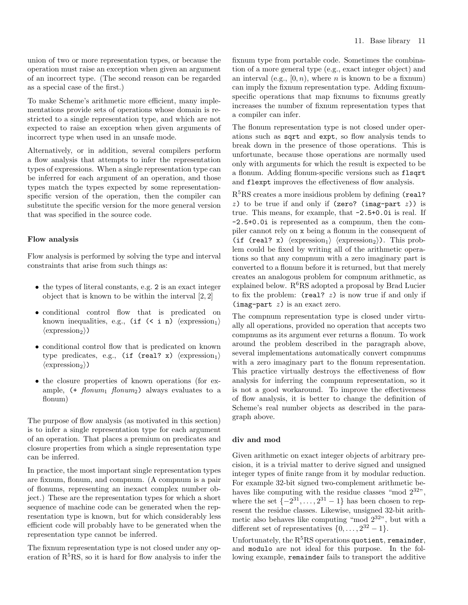union of two or more representation types, or because the operation must raise an exception when given an argument of an incorrect type. (The second reason can be regarded as a special case of the first.)

To make Scheme's arithmetic more efficient, many implementations provide sets of operations whose domain is restricted to a single representation type, and which are not expected to raise an exception when given arguments of incorrect type when used in an unsafe mode.

Alternatively, or in addition, several compilers perform a flow analysis that attempts to infer the representation types of expressions. When a single representation type can be inferred for each argument of an operation, and those types match the types expected by some representationspecific version of the operation, then the compiler can substitute the specific version for the more general version that was specified in the source code.

#### Flow analysis

Flow analysis is performed by solving the type and interval constraints that arise from such things as:

- the types of literal constants, e.g. 2 is an exact integer object that is known to be within the interval [2, 2]
- conditional control flow that is predicated on known inequalities, e.g., (if  $(\langle i \nvert n \rangle \langle e^{i \pi i n \rangle})$  $\langle$  expression<sub>2</sub> $\rangle$ )
- conditional control flow that is predicated on known type predicates, e.g., (if (real? x)  $\langle$  expression<sub>1</sub> $\rangle$  $\langle$ expression<sub>2</sub> $\rangle$ )
- the closure properties of known operations (for example,  $( + \text{fionum}_1 \text{ fionum}_2)$  always evaluates to a flonum)

The purpose of flow analysis (as motivated in this section) is to infer a single representation type for each argument of an operation. That places a premium on predicates and closure properties from which a single representation type can be inferred.

In practice, the most important single representation types are fixnum, flonum, and compnum. (A compnum is a pair of flonums, representing an inexact complex number object.) These are the representation types for which a short sequence of machine code can be generated when the representation type is known, but for which considerably less efficient code will probably have to be generated when the representation type cannot be inferred.

The fixnum representation type is not closed under any operation of  $R<sup>5</sup>RS$ , so it is hard for flow analysis to infer the fixnum type from portable code. Sometimes the combination of a more general type (e.g., exact integer object) and an interval (e.g.,  $[0, n)$ , where n is known to be a fixnum) can imply the fixnum representation type. Adding fixnumspecific operations that map fixnums to fixnums greatly increases the number of fixnum representation types that a compiler can infer.

The flonum representation type is not closed under operations such as sqrt and expt, so flow analysis tends to break down in the presence of those operations. This is unfortunate, because those operations are normally used only with arguments for which the result is expected to be a flonum. Adding flonum-specific versions such as flsqrt and flexpt improves the effectiveness of flow analysis.

 $R<sup>5</sup>RS$  creates a more insidious problem by defining (real? z) to be true if and only if (zero? (imag-part  $z$ )) is true. This means, for example, that -2.5+0.0i is real. If -2.5+0.0i is represented as a compnum, then the compiler cannot rely on x being a flonum in the consequent of (if (real? x)  $\langle$  expression<sub>1</sub> $\rangle$   $\langle$  expression<sub>2</sub> $\rangle$ ). This problem could be fixed by writing all of the arithmetic operations so that any compnum with a zero imaginary part is converted to a flonum before it is returned, but that merely creates an analogous problem for compnum arithmetic, as explained below.  $R^6RS$  adopted a proposal by Brad Lucier to fix the problem:  $(\text{real} \, ? \, z)$  is now true if and only if  $(\text{imag-part } z)$  is an exact zero.

The compnum representation type is closed under virtually all operations, provided no operation that accepts two compnums as its argument ever returns a flonum. To work around the problem described in the paragraph above, several implementations automatically convert compnums with a zero imaginary part to the flonum representation. This practice virtually destroys the effectiveness of flow analysis for inferring the compnum representation, so it is not a good workaround. To improve the effectiveness of flow analysis, it is better to change the definition of Scheme's real number objects as described in the paragraph above.

#### div and mod

Given arithmetic on exact integer objects of arbitrary precision, it is a trivial matter to derive signed and unsigned integer types of finite range from it by modular reduction. For example 32-bit signed two-complement arithmetic behaves like computing with the residue classes "mod  $2^{32}$ ". where the set  $\{-2^{31}, \ldots, 2^{31} - 1\}$  has been chosen to represent the residue classes. Likewise, unsigned 32-bit arithmetic also behaves like computing "mod  $2^{32}$ ", but with a different set of representatives  $\{0, \ldots, 2^{32} - 1\}.$ 

Unfortunately, the  $R<sup>5</sup>RS$  operations quotient, remainder, and modulo are not ideal for this purpose. In the following example, remainder fails to transport the additive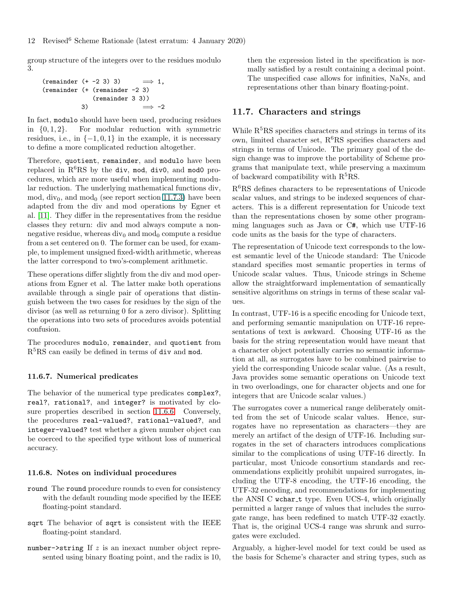group structure of the integers over to the residues modulo 3.

$$
\begin{array}{lcl}(\text{remainder } (+ -2 \ 3) \ 3) & \implies 1, \\ (\text{remainder } (+ \ (\text{remainder } -2 \ 3) ) & \\ & (\text{remainder } 3 \ 3)) & \\ 3) & \implies -2\end{array}
$$

In fact, modulo should have been used, producing residues in  $\{0, 1, 2\}$ . For modular reduction with symmetric residues, i.e., in  $\{-1, 0, 1\}$  in the example, it is necessary to define a more complicated reduction altogether.

Therefore, quotient, remainder, and modulo have been replaced in  $R^6RS$  by the div, mod, div0, and mod0 procedures, which are more useful when implementing modular reduction. The underlying mathematical functions div, mod, div<sub>0</sub>, and mod<sub>0</sub> (see report section 11.7.3) have been adapted from the div and mod operations by Egner et al. [\[11\]](#page-18-12). They differ in the representatives from the residue classes they return: div and mod always compute a nonnegative residue, whereas  $div_0$  and mod<sub>0</sub> compute a residue from a set centered on 0. The former can be used, for example, to implement unsigned fixed-width arithmetic, whereas the latter correspond to two's-complement arithmetic.

These operations differ slightly from the div and mod operations from Egner et al. The latter make both operations available through a single pair of operations that distinguish between the two cases for residues by the sign of the divisor (as well as returning 0 for a zero divisor). Splitting the operations into two sets of procedures avoids potential confusion.

The procedures modulo, remainder, and quotient from  $R<sup>5</sup>RS$  can easily be defined in terms of div and mod.

#### 11.6.7. Numerical predicates

The behavior of the numerical type predicates complex?, real?, rational?, and integer? is motivated by closure properties described in section [11.6.6.](#page-9-1) Conversely, the procedures real-valued?, rational-valued?, and integer-valued? test whether a given number object can be coerced to the specified type without loss of numerical accuracy.

#### 11.6.8. Notes on individual procedures

- round The round procedure rounds to even for consistency with the default rounding mode specified by the IEEE floating-point standard.
- sqrt The behavior of sqrt is consistent with the IEEE floating-point standard.
- number- $\triangleright$ string If z is an inexact number object represented using binary floating point, and the radix is 10,

then the expression listed in the specification is normally satisfied by a result containing a decimal point. The unspecified case allows for infinities, NaNs, and representations other than binary floating-point.

#### <span id="page-11-0"></span>11.7. Characters and strings

While  $R<sup>5</sup>RS$  specifies characters and strings in terms of its own, limited character set,  $R^6RS$  specifies characters and strings in terms of Unicode. The primary goal of the design change was to improve the portability of Scheme programs that manipulate text, while preserving a maximum of backward compatibility with  $R^5RS$ .

R6RS defines characters to be representations of Unicode scalar values, and strings to be indexed sequences of characters. This is a different representation for Unicode text than the representations chosen by some other programming languages such as Java or C#, which use UTF-16 code units as the basis for the type of characters.

The representation of Unicode text corresponds to the lowest semantic level of the Unicode standard: The Unicode standard specifies most semantic properties in terms of Unicode scalar values. Thus, Unicode strings in Scheme allow the straightforward implementation of semantically sensitive algorithms on strings in terms of these scalar values.

In contrast, UTF-16 is a specific encoding for Unicode text, and performing semantic manipulation on UTF-16 representations of text is awkward. Choosing UTF-16 as the basis for the string representation would have meant that a character object potentially carries no semantic information at all, as surrogates have to be combined pairwise to yield the corresponding Unicode scalar value. (As a result, Java provides some semantic operations on Unicode text in two overloadings, one for character objects and one for integers that are Unicode scalar values.)

The surrogates cover a numerical range deliberately omitted from the set of Unicode scalar values. Hence, surrogates have no representation as characters—they are merely an artifact of the design of UTF-16. Including surrogates in the set of characters introduces complications similar to the complications of using UTF-16 directly. In particular, most Unicode consortium standards and recommendations explicitly prohibit unpaired surrogates, including the UTF-8 encoding, the UTF-16 encoding, the UTF-32 encoding, and recommendations for implementing the ANSI C wchar\_t type. Even UCS-4, which originally permitted a larger range of values that includes the surrogate range, has been redefined to match UTF-32 exactly. That is, the original UCS-4 range was shrunk and surrogates were excluded.

Arguably, a higher-level model for text could be used as the basis for Scheme's character and string types, such as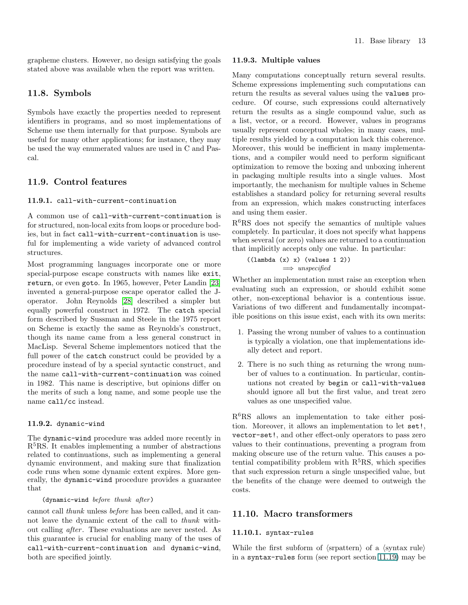grapheme clusters. However, no design satisfying the goals stated above was available when the report was written.

## <span id="page-12-0"></span>11.8. Symbols

Symbols have exactly the properties needed to represent identifiers in programs, and so most implementations of Scheme use them internally for that purpose. Symbols are useful for many other applications; for instance, they may be used the way enumerated values are used in C and Pascal.

## <span id="page-12-1"></span>11.9. Control features

#### 11.9.1. call-with-current-continuation

A common use of call-with-current-continuation is for structured, non-local exits from loops or procedure bodies, but in fact call-with-current-continuation is useful for implementing a wide variety of advanced control structures.

Most programming languages incorporate one or more special-purpose escape constructs with names like exit, return, or even goto. In 1965, however, Peter Landin [\[23\]](#page-19-18) invented a general-purpose escape operator called the Joperator. John Reynolds [\[28\]](#page-19-19) described a simpler but equally powerful construct in 1972. The catch special form described by Sussman and Steele in the 1975 report on Scheme is exactly the same as Reynolds's construct, though its name came from a less general construct in MacLisp. Several Scheme implementors noticed that the full power of the catch construct could be provided by a procedure instead of by a special syntactic construct, and the name call-with-current-continuation was coined in 1982. This name is descriptive, but opinions differ on the merits of such a long name, and some people use the name call/cc instead.

## 11.9.2. dynamic-wind

The dynamic-wind procedure was added more recently in  $R<sup>5</sup>RS$ . It enables implementing a number of abstractions related to continuations, such as implementing a general dynamic environment, and making sure that finalization code runs when some dynamic extent expires. More generally, the dynamic-wind procedure provides a guarantee that

#### (dynamic-wind before thunk after)

cannot call thunk unless before has been called, and it cannot leave the dynamic extent of the call to thunk without calling *after*. These evaluations are never nested. As this guarantee is crucial for enabling many of the uses of call-with-current-continuation and dynamic-wind, both are specified jointly.

#### 11.9.3. Multiple values

Many computations conceptually return several results. Scheme expressions implementing such computations can return the results as several values using the values procedure. Of course, such expressions could alternatively return the results as a single compound value, such as a list, vector, or a record. However, values in programs usually represent conceptual wholes; in many cases, multiple results yielded by a computation lack this coherence. Moreover, this would be inefficient in many implementations, and a compiler would need to perform significant optimization to remove the boxing and unboxing inherent in packaging multiple results into a single values. Most importantly, the mechanism for multiple values in Scheme establishes a standard policy for returning several results from an expression, which makes constructing interfaces and using them easier.

R6RS does not specify the semantics of multiple values completely. In particular, it does not specify what happens when several (or zero) values are returned to a continuation that implicitly accepts only one value. In particular:

$$
((lambda (x) x) (values 1 2))
$$
  

$$
\implies unspecified
$$

Whether an implementation must raise an exception when evaluating such an expression, or should exhibit some other, non-exceptional behavior is a contentious issue. Variations of two different and fundamentally incompatible positions on this issue exist, each with its own merits:

- 1. Passing the wrong number of values to a continuation is typically a violation, one that implementations ideally detect and report.
- 2. There is no such thing as returning the wrong number of values to a continuation. In particular, continuations not created by begin or call-with-values should ignore all but the first value, and treat zero values as one unspecified value.

 $R^6RS$  allows an implementation to take either position. Moreover, it allows an implementation to let set!, vector-set!, and other effect-only operators to pass zero values to their continuations, preventing a program from making obscure use of the return value. This causes a potential compatibility problem with  $R<sup>5</sup>RS$ , which specifies that such expression return a single unspecified value, but the benefits of the change were deemed to outweigh the costs.

## <span id="page-12-2"></span>11.10. Macro transformers

#### 11.10.1. syntax-rules

While the first subform of  $\langle$ srpattern $\rangle$  of a  $\langle$ syntax rule $\rangle$ in a syntax-rules form (see report section 11.19) may be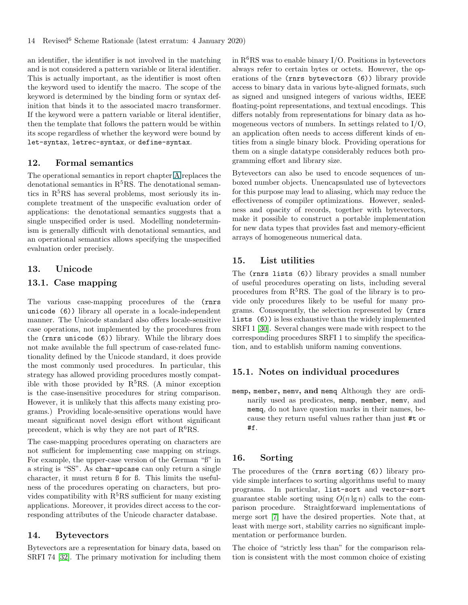an identifier, the identifier is not involved in the matching and is not considered a pattern variable or literal identifier. This is actually important, as the identifier is most often the keyword used to identify the macro. The scope of the keyword is determined by the binding form or syntax definition that binds it to the associated macro transformer. If the keyword were a pattern variable or literal identifier, then the template that follows the pattern would be within its scope regardless of whether the keyword were bound by let-syntax, letrec-syntax, or define-syntax.

#### <span id="page-13-0"></span>12. Formal semantics

The operational semantics in report chapter A replaces the denotational semantics in  $R<sup>5</sup>RS$ . The denotational semantics in  $R<sup>5</sup>RS$  has several problems, most seriously its incomplete treatment of the unspecific evaluation order of applications: the denotational semantics suggests that a single unspecified order is used. Modelling nondeterminism is generally difficult with denotational semantics, and an operational semantics allows specifying the unspecified evaluation order precisely.

## <span id="page-13-2"></span><span id="page-13-1"></span>13. Unicode

## 13.1. Case mapping

The various case-mapping procedures of the (rnrs unicode (6)) library all operate in a locale-independent manner. The Unicode standard also offers locale-sensitive case operations, not implemented by the procedures from the (rnrs unicode (6)) library. While the library does not make available the full spectrum of case-related functionality defined by the Unicode standard, it does provide the most commonly used procedures. In particular, this strategy has allowed providing procedures mostly compatible with those provided by  $R^5RS$ . (A minor exception is the case-insensitive procedures for string comparison. However, it is unlikely that this affects many existing programs.) Providing locale-sensitive operations would have meant significant novel design effort without significant precedent, which is why they are not part of  $\rm R^6RS$ .

The case-mapping procedures operating on characters are not sufficient for implementing case mapping on strings. For example, the upper-case version of the German "ß" in a string is "SS". As char-upcase can only return a single character, it must return ß for ß. This limits the usefulness of the procedures operating on characters, but provides compatibility with  $R<sup>5</sup>RS$  sufficient for many existing applications. Moreover, it provides direct access to the corresponding attributes of the Unicode character database.

#### <span id="page-13-3"></span>14. Bytevectors

Bytevectors are a representation for binary data, based on SRFI 74 [\[32\]](#page-19-20). The primary motivation for including them in  $R^6RS$  was to enable binary I/O. Positions in bytevectors always refer to certain bytes or octets. However, the operations of the (rnrs bytevectors (6)) library provide access to binary data in various byte-aligned formats, such as signed and unsigned integers of various widths, IEEE floating-point representations, and textual encodings. This differs notably from representations for binary data as homogeneous vectors of numbers. In settings related to  $I/O$ , an application often needs to access different kinds of entities from a single binary block. Providing operations for them on a single datatype considerably reduces both programming effort and library size.

Bytevectors can also be used to encode sequences of unboxed number objects. Unencapsulated use of bytevectors for this purpose may lead to aliasing, which may reduce the effectiveness of compiler optimizations. However, sealedness and opacity of records, together with bytevectors, make it possible to construct a portable implementation for new data types that provides fast and memory-efficient arrays of homogeneous numerical data.

## <span id="page-13-4"></span>15. List utilities

The (rnrs lists (6)) library provides a small number of useful procedures operating on lists, including several procedures from  $R^5RS$ . The goal of the library is to provide only procedures likely to be useful for many programs. Consequently, the selection represented by (rnrs lists (6)) is less exhaustive than the widely implemented SRFI 1 [\[30\]](#page-19-21). Several changes were made with respect to the corresponding procedures SRFI 1 to simplify the specification, and to establish uniform naming conventions.

#### <span id="page-13-5"></span>15.1. Notes on individual procedures

memp, member, memv, and memq Although they are ordinarily used as predicates, memp, member, memv, and memq, do not have question marks in their names, because they return useful values rather than just #t or #f.

#### <span id="page-13-6"></span>16. Sorting

The procedures of the (rnrs sorting (6)) library provide simple interfaces to sorting algorithms useful to many programs. In particular, list-sort and vector-sort guarantee stable sorting using  $O(n \lg n)$  calls to the comparison procedure. Straightforward implementations of merge sort [\[7\]](#page-18-13) have the desired properties. Note that, at least with merge sort, stability carries no significant implementation or performance burden.

The choice of "strictly less than" for the comparison relation is consistent with the most common choice of existing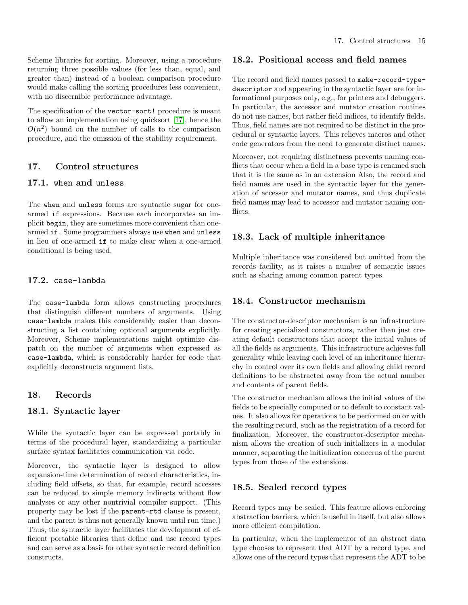Scheme libraries for sorting. Moreover, using a procedure returning three possible values (for less than, equal, and greater than) instead of a boolean comparison procedure would make calling the sorting procedures less convenient, with no discernible performance advantage.

<span id="page-14-0"></span>The specification of the vector-sort! procedure is meant to allow an implementation using quicksort [\[17\]](#page-19-22), hence the  $O(n^2)$  bound on the number of calls to the comparison procedure, and the omission of the stability requirement.

## <span id="page-14-1"></span>17. Control structures

## 17.1. when and unless

The when and unless forms are syntactic sugar for onearmed if expressions. Because each incorporates an implicit begin, they are sometimes more convenient than onearmed if. Some programmers always use when and unless in lieu of one-armed if to make clear when a one-armed conditional is being used.

#### <span id="page-14-2"></span>17.2. case-lambda

The case-lambda form allows constructing procedures that distinguish different numbers of arguments. Using case-lambda makes this considerably easier than deconstructing a list containing optional arguments explicitly. Moreover, Scheme implementations might optimize dispatch on the number of arguments when expressed as case-lambda, which is considerably harder for code that explicitly deconstructs argument lists.

## <span id="page-14-4"></span><span id="page-14-3"></span>18. Records

## 18.1. Syntactic layer

While the syntactic layer can be expressed portably in terms of the procedural layer, standardizing a particular surface syntax facilitates communication via code.

Moreover, the syntactic layer is designed to allow expansion-time determination of record characteristics, including field offsets, so that, for example, record accesses can be reduced to simple memory indirects without flow analyses or any other nontrivial compiler support. (This property may be lost if the parent-rtd clause is present, and the parent is thus not generally known until run time.) Thus, the syntactic layer facilitates the development of efficient portable libraries that define and use record types and can serve as a basis for other syntactic record definition constructs.

## <span id="page-14-5"></span>18.2. Positional access and field names

The record and field names passed to make-record-typedescriptor and appearing in the syntactic layer are for informational purposes only, e.g., for printers and debuggers. In particular, the accessor and mutator creation routines do not use names, but rather field indices, to identify fields. Thus, field names are not required to be distinct in the procedural or syntactic layers. This relieves macros and other code generators from the need to generate distinct names.

Moreover, not requiring distinctness prevents naming conflicts that occur when a field in a base type is renamed such that it is the same as in an extension Also, the record and field names are used in the syntactic layer for the generation of accessor and mutator names, and thus duplicate field names may lead to accessor and mutator naming conflicts.

## <span id="page-14-6"></span>18.3. Lack of multiple inheritance

Multiple inheritance was considered but omitted from the records facility, as it raises a number of semantic issues such as sharing among common parent types.

## <span id="page-14-7"></span>18.4. Constructor mechanism

The constructor-descriptor mechanism is an infrastructure for creating specialized constructors, rather than just creating default constructors that accept the initial values of all the fields as arguments. This infrastructure achieves full generality while leaving each level of an inheritance hierarchy in control over its own fields and allowing child record definitions to be abstracted away from the actual number and contents of parent fields.

The constructor mechanism allows the initial values of the fields to be specially computed or to default to constant values. It also allows for operations to be performed on or with the resulting record, such as the registration of a record for finalization. Moreover, the constructor-descriptor mechanism allows the creation of such initializers in a modular manner, separating the initialization concerns of the parent types from those of the extensions.

## <span id="page-14-8"></span>18.5. Sealed record types

Record types may be sealed. This feature allows enforcing abstraction barriers, which is useful in itself, but also allows more efficient compilation.

In particular, when the implementor of an abstract data type chooses to represent that ADT by a record type, and allows one of the record types that represent the ADT to be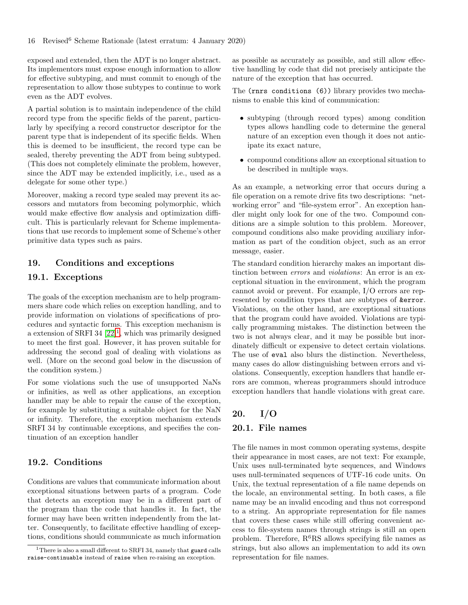exposed and extended, then the ADT is no longer abstract. Its implementors must expose enough information to allow for effective subtyping, and must commit to enough of the representation to allow those subtypes to continue to work even as the ADT evolves.

A partial solution is to maintain independence of the child record type from the specific fields of the parent, particularly by specifying a record constructor descriptor for the parent type that is independent of its specific fields. When this is deemed to be insufficient, the record type can be sealed, thereby preventing the ADT from being subtyped. (This does not completely eliminate the problem, however, since the ADT may be extended implicitly, i.e., used as a delegate for some other type.)

Moreover, making a record type sealed may prevent its accessors and mutators from becoming polymorphic, which would make effective flow analysis and optimization difficult. This is particularly relevant for Scheme implementations that use records to implement some of Scheme's other primitive data types such as pairs.

## <span id="page-15-1"></span><span id="page-15-0"></span>19. Conditions and exceptions

## 19.1. Exceptions

The goals of the exception mechanism are to help programmers share code which relies on exception handling, and to provide information on violations of specifications of procedures and syntactic forms. This exception mechanism is a extension of SRFI 34  $[22]$ <sup>[1](#page-15-5)</sup>, which was primarily designed to meet the first goal. However, it has proven suitable for addressing the second goal of dealing with violations as well. (More on the second goal below in the discussion of the condition system.)

For some violations such the use of unsupported NaNs or infinities, as well as other applications, an exception handler may be able to repair the cause of the exception, for example by substituting a suitable object for the NaN or infinity. Therefore, the exception mechanism extends SRFI 34 by continuable exceptions, and specifies the continuation of an exception handler

## <span id="page-15-2"></span>19.2. Conditions

Conditions are values that communicate information about exceptional situations between parts of a program. Code that detects an exception may be in a different part of the program than the code that handles it. In fact, the former may have been written independently from the latter. Consequently, to facilitate effective handling of exceptions, conditions should communicate as much information as possible as accurately as possible, and still allow effective handling by code that did not precisely anticipate the nature of the exception that has occurred.

The (rnrs conditions (6)) library provides two mechanisms to enable this kind of communication:

- subtyping (through record types) among condition types allows handling code to determine the general nature of an exception even though it does not anticipate its exact nature,
- compound conditions allow an exceptional situation to be described in multiple ways.

As an example, a networking error that occurs during a file operation on a remote drive fits two descriptions: "networking error" and "file-system error". An exception handler might only look for one of the two. Compound conditions are a simple solution to this problem. Moreover, compound conditions also make providing auxiliary information as part of the condition object, such as an error message, easier.

The standard condition hierarchy makes an important distinction between errors and violations: An error is an exceptional situation in the environment, which the program cannot avoid or prevent. For example, I/O errors are represented by condition types that are subtypes of &error. Violations, on the other hand, are exceptional situations that the program could have avoided. Violations are typically programming mistakes. The distinction between the two is not always clear, and it may be possible but inordinately difficult or expensive to detect certain violations. The use of eval also blurs the distinction. Nevertheless, many cases do allow distinguishing between errors and violations. Consequently, exception handlers that handle errors are common, whereas programmers should introduce exception handlers that handle violations with great care.

## <span id="page-15-4"></span><span id="page-15-3"></span>20. I/O

## 20.1. File names

The file names in most common operating systems, despite their appearance in most cases, are not text: For example, Unix uses null-terminated byte sequences, and Windows uses null-terminated sequences of UTF-16 code units. On Unix, the textual representation of a file name depends on the locale, an environmental setting. In both cases, a file name may be an invalid encoding and thus not correspond to a string. An appropriate representation for file names that covers these cases while still offering convenient access to file-system names through strings is still an open problem. Therefore,  $R^6RS$  allows specifying file names as strings, but also allows an implementation to add its own representation for file names.

<span id="page-15-5"></span><sup>&</sup>lt;sup>1</sup>There is also a small different to SRFI 34, namely that guard calls raise-continuable instead of raise when re-raising an exception.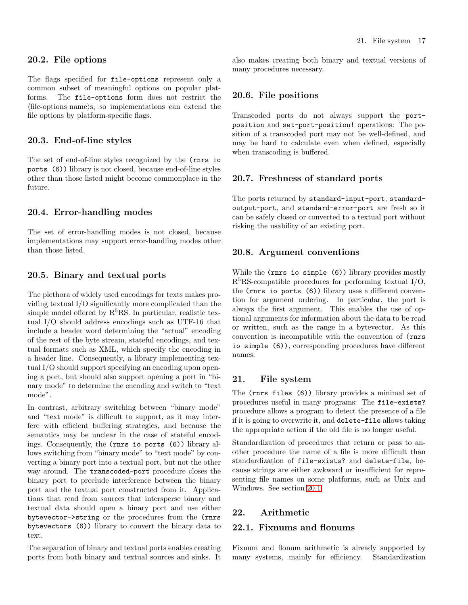#### <span id="page-16-0"></span>20.2. File options

The flags specified for file-options represent only a common subset of meaningful options on popular platforms. The file-options form does not restrict the  $\langle$ file-options name $\rangle$ s, so implementations can extend the file options by platform-specific flags.

#### <span id="page-16-1"></span>20.3. End-of-line styles

The set of end-of-line styles recognized by the (rnrs io ports (6)) library is not closed, because end-of-line styles other than those listed might become commonplace in the future.

#### <span id="page-16-2"></span>20.4. Error-handling modes

The set of error-handling modes is not closed, because implementations may support error-handling modes other than those listed.

## <span id="page-16-3"></span>20.5. Binary and textual ports

The plethora of widely used encodings for texts makes providing textual I/O significantly more complicated than the simple model offered by  $R^5RS$ . In particular, realistic textual I/O should address encodings such as UTF-16 that include a header word determining the "actual" encoding of the rest of the byte stream, stateful encodings, and textual formats such as XML, which specify the encoding in a header line. Consequently, a library implementing textual I/O should support specifying an encoding upon opening a port, but should also support opening a port in "binary mode" to determine the encoding and switch to "text mode".

In contrast, arbitrary switching between "binary mode" and "text mode" is difficult to support, as it may interfere with efficient buffering strategies, and because the semantics may be unclear in the case of stateful encodings. Consequently, the (rnrs io ports (6)) library allows switching from "binary mode" to "text mode" by converting a binary port into a textual port, but not the other way around. The transcoded-port procedure closes the binary port to preclude interference between the binary port and the textual port constructed from it. Applications that read from sources that intersperse binary and textual data should open a binary port and use either bytevector->string or the procedures from the (rnrs bytevectors (6)) library to convert the binary data to text.

The separation of binary and textual ports enables creating ports from both binary and textual sources and sinks. It also makes creating both binary and textual versions of many procedures necessary.

#### <span id="page-16-4"></span>20.6. File positions

Transcoded ports do not always support the portposition and set-port-position! operations: The position of a transcoded port may not be well-defined, and may be hard to calculate even when defined, especially when transcoding is buffered.

#### <span id="page-16-5"></span>20.7. Freshness of standard ports

The ports returned by standard-input-port, standardoutput-port, and standard-error-port are fresh so it can be safely closed or converted to a textual port without risking the usability of an existing port.

#### <span id="page-16-6"></span>20.8. Argument conventions

While the (rnrs io simple (6)) library provides mostly  $R<sup>5</sup>RS$ -compatible procedures for performing textual I/O, the (rnrs io ports (6)) library uses a different convention for argument ordering. In particular, the port is always the first argument. This enables the use of optional arguments for information about the data to be read or written, such as the range in a bytevector. As this convention is incompatible with the convention of (rnrs io simple (6)), corresponding procedures have different names.

#### <span id="page-16-7"></span>21. File system

The (rnrs files (6)) library provides a minimal set of procedures useful in many programs: The file-exists? procedure allows a program to detect the presence of a file if it is going to overwrite it, and delete-file allows taking the appropriate action if the old file is no longer useful.

Standardization of procedures that return or pass to another procedure the name of a file is more difficult than standardization of file-exists? and delete-file, because strings are either awkward or insufficient for representing file names on some platforms, such as Unix and Windows. See section [20.1.](#page-15-4)

## <span id="page-16-9"></span><span id="page-16-8"></span>22. Arithmetic

## 22.1. Fixnums and flonums

Fixnum and flonum arithmetic is already supported by many systems, mainly for efficiency. Standardization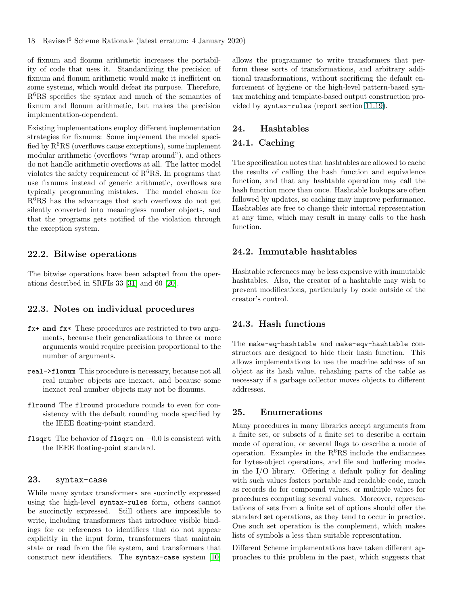of fixnum and flonum arithmetic increases the portability of code that uses it. Standardizing the precision of fixnum and flonum arithmetic would make it inefficient on some systems, which would defeat its purpose. Therefore,  $R<sup>6</sup>RS$  specifies the syntax and much of the semantics of fixnum and flonum arithmetic, but makes the precision implementation-dependent.

Existing implementations employ different implementation strategies for fixnums: Some implement the model specified by  $R^6RS$  (overflows cause exceptions), some implement modular arithmetic (overflows "wrap around"), and others do not handle arithmetic overflows at all. The latter model violates the safety requirement of  $R^6RS$ . In programs that use fixnums instead of generic arithmetic, overflows are typically programming mistakes. The model chosen for  $R<sup>6</sup>RS$  has the advantage that such overflows do not get silently converted into meaningless number objects, and that the programs gets notified of the violation through the exception system.

## <span id="page-17-0"></span>22.2. Bitwise operations

The bitwise operations have been adapted from the operations described in SRFIs 33 [\[31\]](#page-19-24) and 60 [\[20\]](#page-19-25).

#### <span id="page-17-1"></span>22.3. Notes on individual procedures

- fx+ and fx\* These procedures are restricted to two arguments, because their generalizations to three or more arguments would require precision proportional to the number of arguments.
- real->flonum This procedure is necessary, because not all real number objects are inexact, and because some inexact real number objects may not be flonums.
- flround The flround procedure rounds to even for consistency with the default rounding mode specified by the IEEE floating-point standard.
- <span id="page-17-2"></span>flsqrt The behavior of flsqrt on −0.0 is consistent with the IEEE floating-point standard.

## 23. syntax-case

While many syntax transformers are succinctly expressed using the high-level syntax-rules form, others cannot be succinctly expressed. Still others are impossible to write, including transformers that introduce visible bindings for or references to identifiers that do not appear explicitly in the input form, transformers that maintain state or read from the file system, and transformers that construct new identifiers. The syntax-case system [\[10\]](#page-18-14) allows the programmer to write transformers that perform these sorts of transformations, and arbitrary additional transformations, without sacrificing the default enforcement of hygiene or the high-level pattern-based syntax matching and template-based output construction provided by syntax-rules (report section 11.19).

#### <span id="page-17-4"></span><span id="page-17-3"></span>24. Hashtables

## 24.1. Caching

The specification notes that hashtables are allowed to cache the results of calling the hash function and equivalence function, and that any hashtable operation may call the hash function more than once. Hashtable lookups are often followed by updates, so caching may improve performance. Hashtables are free to change their internal representation at any time, which may result in many calls to the hash function.

## <span id="page-17-5"></span>24.2. Immutable hashtables

Hashtable references may be less expensive with immutable hashtables. Also, the creator of a hashtable may wish to prevent modifications, particularly by code outside of the creator's control.

## <span id="page-17-6"></span>24.3. Hash functions

The make-eq-hashtable and make-eqv-hashtable constructors are designed to hide their hash function. This allows implementations to use the machine address of an object as its hash value, rehashing parts of the table as necessary if a garbage collector moves objects to different addresses.

#### <span id="page-17-7"></span>25. Enumerations

Many procedures in many libraries accept arguments from a finite set, or subsets of a finite set to describe a certain mode of operation, or several flags to describe a mode of operation. Examples in the  $R^6RS$  include the endianness for bytes-object operations, and file and buffering modes in the I/O library. Offering a default policy for dealing with such values fosters portable and readable code, much as records do for compound values, or multiple values for procedures computing several values. Moreover, representations of sets from a finite set of options should offer the standard set operations, as they tend to occur in practice. One such set operation is the complement, which makes lists of symbols a less than suitable representation.

Different Scheme implementations have taken different approaches to this problem in the past, which suggests that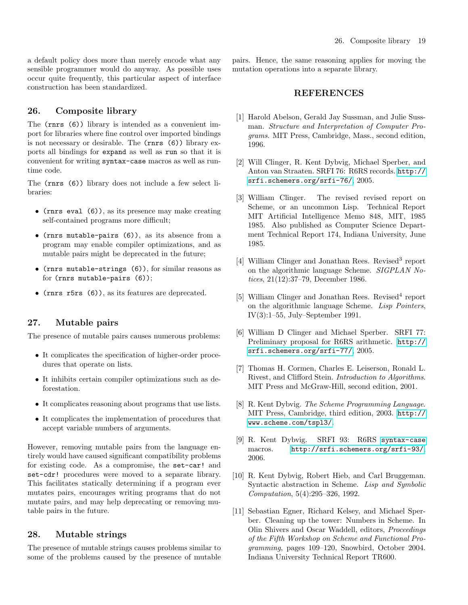<span id="page-18-0"></span>a default policy does more than merely encode what any sensible programmer would do anyway. As possible uses occur quite frequently, this particular aspect of interface construction has been standardized.

#### 26. Composite library

The (rnrs (6)) library is intended as a convenient import for libraries where fine control over imported bindings is not necessary or desirable. The (rnrs (6)) library exports all bindings for expand as well as run so that it is convenient for writing syntax-case macros as well as runtime code.

The (rnrs (6)) library does not include a few select libraries:

- (rnrs eval  $(6)$ ), as its presence may make creating self-contained programs more difficult;
- (rnrs mutable-pairs (6)), as its absence from a program may enable compiler optimizations, and as mutable pairs might be deprecated in the future;
- (rnrs mutable-strings (6)), for similar reasons as for (rnrs mutable-pairs (6));
- <span id="page-18-1"></span>• (rnrs r5rs (6)), as its features are deprecated.

## 27. Mutable pairs

The presence of mutable pairs causes numerous problems:

- It complicates the specification of higher-order procedures that operate on lists.
- It inhibits certain compiler optimizations such as deforestation.
- It complicates reasoning about programs that use lists.
- It complicates the implementation of procedures that accept variable numbers of arguments.

However, removing mutable pairs from the language entirely would have caused significant compatibility problems for existing code. As a compromise, the set-car! and set-cdr! procedures were moved to a separate library. This facilitates statically determining if a program ever mutates pairs, encourages writing programs that do not mutate pairs, and may help deprecating or removing mutable pairs in the future.

#### <span id="page-18-2"></span>28. Mutable strings

The presence of mutable strings causes problems similar to some of the problems caused by the presence of mutable <span id="page-18-3"></span>pairs. Hence, the same reasoning applies for moving the mutation operations into a separate library.

## REFERENCES

- <span id="page-18-4"></span>[1] Harold Abelson, Gerald Jay Sussman, and Julie Sussman. Structure and Interpretation of Computer Programs. MIT Press, Cambridge, Mass., second edition, 1996.
- <span id="page-18-9"></span>[2] Will Clinger, R. Kent Dybvig, Michael Sperber, and Anton van Straaten. SRFI 76: R6RS records. [http://](http://srfi.schemers.org/srfi-76/) [srfi.schemers.org/srfi-76/](http://srfi.schemers.org/srfi-76/), 2005.
- <span id="page-18-6"></span>[3] William Clinger. The revised revised report on Scheme, or an uncommon Lisp. Technical Report MIT Artificial Intelligence Memo 848, MIT, 1985 1985. Also published as Computer Science Department Technical Report 174, Indiana University, June 1985.
- <span id="page-18-7"></span>[4] William Clinger and Jonathan Rees. Revised<sup>3</sup> report on the algorithmic language Scheme. SIGPLAN Notices, 21(12):37–79, December 1986.
- <span id="page-18-8"></span>[5] William Clinger and Jonathan Rees. Revised<sup>4</sup> report on the algorithmic language Scheme. Lisp Pointers, IV(3):1–55, July–September 1991.
- <span id="page-18-10"></span>[6] William D Clinger and Michael Sperber. SRFI 77: Preliminary proposal for R6RS arithmetic. [http://](http://srfi.schemers.org/srfi-77/) [srfi.schemers.org/srfi-77/](http://srfi.schemers.org/srfi-77/), 2005.
- <span id="page-18-13"></span>[7] Thomas H. Cormen, Charles E. Leiserson, Ronald L. Rivest, and Clifford Stein. Introduction to Algorithms. MIT Press and McGraw-Hill, second edition, 2001.
- <span id="page-18-5"></span>[8] R. Kent Dybvig. The Scheme Programming Language. MIT Press, Cambridge, third edition, 2003. [http://](http://www.scheme.com/tspl3/) [www.scheme.com/tspl3/](http://www.scheme.com/tspl3/).
- <span id="page-18-11"></span>[9] R. Kent Dybvig. SRFI 93: R6RS <syntax-case> macros. <http://srfi.schemers.org/srfi-93/>, 2006.
- <span id="page-18-14"></span>[10] R. Kent Dybvig, Robert Hieb, and Carl Bruggeman. Syntactic abstraction in Scheme. Lisp and Symbolic Computation, 5(4):295–326, 1992.
- <span id="page-18-12"></span>[11] Sebastian Egner, Richard Kelsey, and Michael Sperber. Cleaning up the tower: Numbers in Scheme. In Olin Shivers and Oscar Waddell, editors, Proceedings of the Fifth Workshop on Scheme and Functional Programming, pages 109–120, Snowbird, October 2004. Indiana University Technical Report TR600.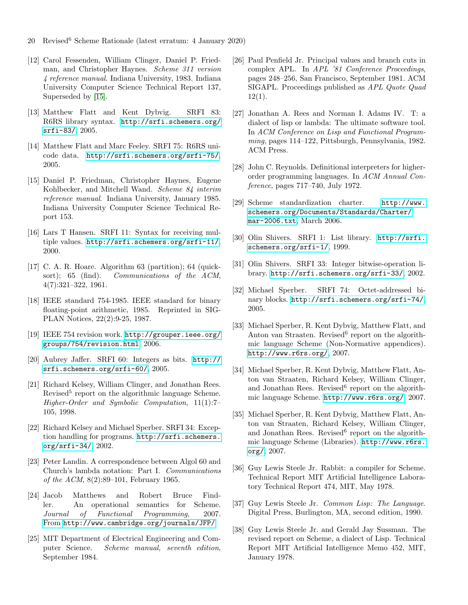- 20 Revised<sup>6</sup> Scheme Rationale (latest erratum: 4 January 2020)
- <span id="page-19-7"></span>[12] Carol Fessenden, William Clinger, Daniel P. Friedman, and Christopher Haynes. Scheme 311 version 4 reference manual. Indiana University, 1983. Indiana University Computer Science Technical Report 137, Superseded by [\[15\]](#page-19-26).
- <span id="page-19-11"></span>[13] Matthew Flatt and Kent Dybvig. SRFI 83: R6RS library syntax. [http://srfi.schemers.org/](http://srfi.schemers.org/srfi-83/) [srfi-83/](http://srfi.schemers.org/srfi-83/), 2005.
- <span id="page-19-10"></span>[14] Matthew Flatt and Marc Feeley. SRFI 75: R6RS unicode data. <http://srfi.schemers.org/srfi-75/>, 2005.
- <span id="page-19-26"></span>[15] Daniel P. Friedman, Christopher Haynes, Eugene Kohlbecker, and Mitchell Wand. Scheme 84 interim reference manual. Indiana University, January 1985. Indiana University Computer Science Technical Report 153.
- <span id="page-19-14"></span>[16] Lars T Hansen. SRFI 11: Syntax for receiving multiple values. <http://srfi.schemers.org/srfi-11/>, 2000.
- <span id="page-19-22"></span>[17] C. A. R. Hoare. Algorithm 63 (partition); 64 (quicksort); 65 (find). Communications of the ACM, 4(7):321–322, 1961.
- <span id="page-19-13"></span>[18] IEEE standard 754-1985. IEEE standard for binary floating-point arithmetic, 1985. Reprinted in SIG-PLAN Notices, 22(2):9-25, 1987.
- <span id="page-19-15"></span>[19] IEEE 754 revision work. [http://grouper.ieee.org/](http://grouper.ieee.org/groups/754/revision.html) [groups/754/revision.html](http://grouper.ieee.org/groups/754/revision.html), 2006.
- <span id="page-19-25"></span>[20] Aubrey Jaffer. SRFI 60: Integers as bits. [http://](http://srfi.schemers.org/srfi-60/) [srfi.schemers.org/srfi-60/](http://srfi.schemers.org/srfi-60/), 2005.
- <span id="page-19-8"></span>[21] Richard Kelsey, William Clinger, and Jonathan Rees. Revised<sup>5</sup> report on the algorithmic language Scheme. Higher-Order and Symbolic Computation, 11(1):7– 105, 1998.
- <span id="page-19-23"></span>[22] Richard Kelsey and Michael Sperber. SRFI 34: Exception handling for programs. [http://srfi.schemers.](http://srfi.schemers.org/srfi-34/) [org/srfi-34/](http://srfi.schemers.org/srfi-34/), 2002.
- <span id="page-19-18"></span>[23] Peter Landin. A correspondence between Algol 60 and Church's lambda notation: Part I. Communications of the ACM, 8(2):89–101, February 1965.
- <span id="page-19-12"></span>[24] Jacob Matthews and Robert Bruce Findler. An operational semantics for Scheme. Journal of Functional Programming, 2007. From <http://www.cambridge.org/journals/JFP/>.
- <span id="page-19-6"></span>[25] MIT Department of Electrical Engineering and Computer Science. Scheme manual, seventh edition, September 1984.
- <span id="page-19-17"></span>[26] Paul Penfield Jr. Principal values and branch cuts in complex APL. In APL '81 Conference Proceedings, pages 248–256, San Francisco, September 1981. ACM SIGAPL. Proceedings published as APL Quote Quad  $12(1)$ .
- <span id="page-19-5"></span>[27] Jonathan A. Rees and Norman I. Adams IV. T: a dialect of lisp or lambda: The ultimate software tool. In ACM Conference on Lisp and Functional Programming, pages 114–122, Pittsburgh, Pennsylvania, 1982. ACM Press.
- <span id="page-19-19"></span>[28] John C. Reynolds. Definitional interpreters for higherorder programming languages. In ACM Annual Conference, pages 717–740, July 1972.
- <span id="page-19-9"></span>[29] Scheme standardization charter. [http://www.](http://www.schemers.org/Documents/Standards/Charter/mar-2006.txt) [schemers.org/Documents/Standards/Charter/](http://www.schemers.org/Documents/Standards/Charter/mar-2006.txt) [mar-2006.txt](http://www.schemers.org/Documents/Standards/Charter/mar-2006.txt), March 2006.
- <span id="page-19-21"></span>[30] Olin Shivers. SRFI 1: List library. [http://srfi.](http://srfi.schemers.org/srfi-1/) [schemers.org/srfi-1/](http://srfi.schemers.org/srfi-1/), 1999.
- <span id="page-19-24"></span>[31] Olin Shivers. SRFI 33: Integer bitwise-operation library. <http://srfi.schemers.org/srfi-33/>, 2002.
- <span id="page-19-20"></span>[32] Michael Sperber. SRFI 74: Octet-addressed binary blocks. <http://srfi.schemers.org/srfi-74/>, 2005.
- <span id="page-19-2"></span>[33] Michael Sperber, R. Kent Dybvig, Matthew Flatt, and Anton van Straaten. Revised<sup>6</sup> report on the algorithmic language Scheme (Non-Normative appendices). <http://www.r6rs.org/>, 2007.
- <span id="page-19-0"></span>[34] Michael Sperber, R. Kent Dybvig, Matthew Flatt, Anton van Straaten, Richard Kelsey, William Clinger, and Jonathan Rees. Revised<sup>6</sup> report on the algorithmic language Scheme. <http://www.r6rs.org/>, 2007.
- <span id="page-19-1"></span>[35] Michael Sperber, R. Kent Dybvig, Matthew Flatt, Anton van Straaten, Richard Kelsey, William Clinger, and Jonathan Rees. Revised<sup>6</sup> report on the algorithmic language Scheme (Libraries). [http://www.r6rs.](http://www.r6rs.org/) [org/](http://www.r6rs.org/), 2007.
- <span id="page-19-4"></span>[36] Guy Lewis Steele Jr. Rabbit: a compiler for Scheme. Technical Report MIT Artificial Intelligence Laboratory Technical Report 474, MIT, May 1978.
- <span id="page-19-16"></span>[37] Guy Lewis Steele Jr. Common Lisp: The Language. Digital Press, Burlington, MA, second edition, 1990.
- <span id="page-19-3"></span>[38] Guy Lewis Steele Jr. and Gerald Jay Sussman. The revised report on Scheme, a dialect of Lisp. Technical Report MIT Artificial Intelligence Memo 452, MIT, January 1978.